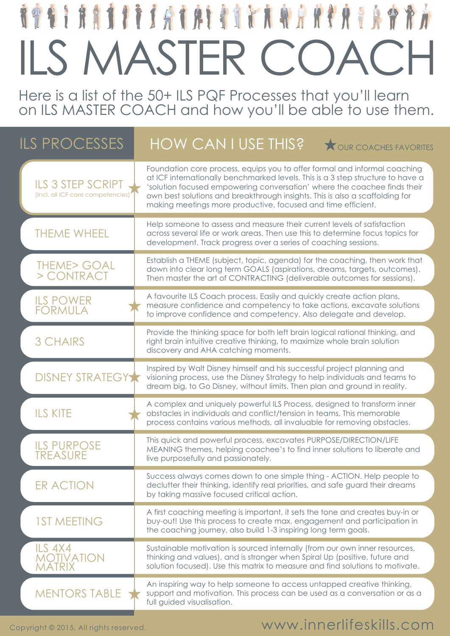Here is a list of the 50+ ILS PQF Processes that you'll learn on ILS MASTER COACH and how you'll be able to use them.

| <b>ILS PROCESSES</b>                                          | HOW CAN I USE THIS?<br>OUR COACHES FAVORITES                                                                                                                                                                                                                                                                                                                                             |
|---------------------------------------------------------------|------------------------------------------------------------------------------------------------------------------------------------------------------------------------------------------------------------------------------------------------------------------------------------------------------------------------------------------------------------------------------------------|
| <b>ILS 3 STEP SCRIPT</b><br>(Incl. all ICF core competencies) | Foundation core process, equips you to offer formal and informal coaching<br>at ICF internationally benchmarked levels. This is a 3 step structure to have a<br>'solution focused empowering conversation' where the coachee finds their<br>own best solutions and breakthrough insights. This is also a scaffolding for<br>making meetings more productive, focused and time efficient. |
| <b>THEME WHEEL</b>                                            | Help someone to assess and measure their current levels of satisfaction<br>across several life or work areas. Then use this to determine focus topics for<br>development. Track progress over a series of coaching sessions.                                                                                                                                                             |
| <b>THEME&gt; GOAL</b><br>> CONTRACT                           | Establish a THEME (subject, topic, agenda) for the coaching, then work that<br>down into clear long term GOALS (aspirations, dreams, targets, outcomes).<br>Then master the art of CONTRACTING (deliverable outcomes for sessions).                                                                                                                                                      |
| <b>ILS POWER</b><br><b>FORMULA</b>                            | A favourite ILS Coach process. Easily and quickly create action plans,<br>measure confidence and competency to take actions, excavate solutions<br>to improve confidence and competency. Also delegate and develop.                                                                                                                                                                      |
| <b>3 CHAIRS</b>                                               | Provide the thinking space for both left brain logical rational thinking, and<br>right brain intuitive creative thinking, to maximize whole brain solution<br>discovery and AHA catching moments.                                                                                                                                                                                        |
| <b>DISNEY STRATEGY</b>                                        | Inspired by Walt Disney himself and his successful project planning and<br>visioning process, use the Disney Strategy to help individuals and teams to<br>dream big, to Go Disney, without limits. Then plan and ground in reality.                                                                                                                                                      |
| <b>ILS KITE</b>                                               | A complex and uniquely powerful ILS Process, designed to transform inner<br>obstacles in individuals and conflict/tension in teams. This memorable<br>process contains various methods, all invaluable for removing obstacles.                                                                                                                                                           |
| <b>ILS PURPOSE</b><br><b>TREASURE</b>                         | This quick and powerful process, excavates PURPOSE/DIRECTION/LIFE<br>MEANING themes, helping coachee's to find inner solutions to liberate and<br>live purposefully and passionately.                                                                                                                                                                                                    |
| ER ACTION                                                     | Success always comes down to one simple thing - ACTION. Help people to<br>declutter their thinking, identify real priorities, and safe guard their dreams<br>by taking massive focused critical action.                                                                                                                                                                                  |
| <b>1ST MEETING</b>                                            | A first coaching meeting is important, it sets the tone and creates buy-in or<br>buy-out! Use this process to create max. engagement and participation in<br>the coaching journey, also build 1-3 inspiring long term goals.                                                                                                                                                             |
| ILS 4X4<br><b>MOTIVATION</b>                                  | Sustainable motivation is sourced internally (from our own inner resources,<br>thinking and values), and is stronger when Spiral Up (positive, future and<br>solution focused). Use this matrix to measure and find solutions to motivate.                                                                                                                                               |
| MENTORS TABLE                                                 | An inspiring way to help someone to access untapped creative thinking,<br>support and motivation. This process can be used as a conversation or as a<br>full guided visualisation.                                                                                                                                                                                                       |

www.innerlifeskills.com

Copyright © 2015, All rights reserved.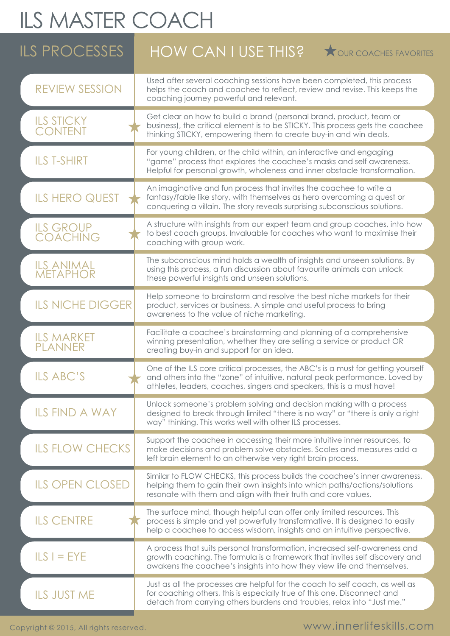| <b>ILS PROCESSES</b>                | HOW CAN I USE THIS?<br><b>TOUR COACHES FAVORITES</b>                                                                                                                                                                                      |
|-------------------------------------|-------------------------------------------------------------------------------------------------------------------------------------------------------------------------------------------------------------------------------------------|
| <b>REVIEW SESSION</b>               | Used after several coaching sessions have been completed, this process<br>helps the coach and coachee to reflect, review and revise. This keeps the<br>coaching journey powerful and relevant.                                            |
| <b>ILS STICKY</b><br><b>CONTENT</b> | Get clear on how to build a brand (personal brand, product, team or<br>business), the critical element is to be STICKY. This process gets the coachee<br>thinking STICKY, empowering them to create buy-in and win deals.                 |
| <b>ILS T-SHIRT</b>                  | For young children, or the child within, an interactive and engaging<br>"game" process that explores the coachee's masks and self awareness.<br>Helpful for personal growth, wholeness and inner obstacle transformation.                 |
| <b>ILS HERO QUEST</b>               | An imaginative and fun process that invites the coachee to write a<br>fantasy/fable like story, with themselves as hero overcoming a quest or<br>conquering a villain. The story reveals surprising subconscious solutions.               |
| <b>ILS GROUP</b><br><b>COACHING</b> | A structure with insights from our expert team and group coaches, into how<br>to best coach groups. Invaluable for coaches who want to maximise their<br>coaching with group work.                                                        |
| <b>ILS ANIMAL<br/>METAPHOR</b>      | The subconscious mind holds a wealth of insights and unseen solutions. By<br>using this process, a fun discussion about favourite animals can unlock<br>these powerful insights and unseen solutions.                                     |
| <b>ILS NICHE DIGGER</b>             | Help someone to brainstorm and resolve the best niche markets for their<br>product, services or business. A simple and useful process to bring<br>awareness to the value of niche marketing.                                              |
| <b>ILS MARKET</b><br>PLANNER        | Facilitate a coachee's brainstorming and planning of a comprehensive<br>winning presentation, whether they are selling a service or product OR<br>creating buy-in and support for an idea.                                                |
| ILS ABC'S                           | One of the ILS core critical processes, the ABC's is a must for getting yourself<br>and others into the "zone" of intuitive, natural peak performance. Loved by<br>athletes, leaders, coaches, singers and speakers, this is a must have! |
| <b>ILS FIND A WAY</b>               | Unlock someone's problem solving and decision making with a process<br>designed to break through limited "there is no way" or "there is only a right<br>way" thinking. This works well with other ILS processes.                          |
| <b>ILS FLOW CHECKS</b>              | Support the coachee in accessing their more intuitive inner resources, to<br>make decisions and problem solve obstacles. Scales and measures add a<br>left brain element to an otherwise very right brain process.                        |
| <b>ILS OPEN CLOSED</b>              | Similar to FLOW CHECKS, this process builds the coachee's inner awareness,<br>helping them to gain their own insights into which paths/actions/solutions<br>resonate with them and align with their truth and core values.                |
| <b>ILS CENTRE</b>                   | The surface mind, though helpful can offer only limited resources. This<br>process is simple and yet powerfully transformative. It is designed to easily<br>help a coachee to access wisdom, insights and an intuitive perspective.       |
| $ILS I = EYE$                       | A process that suits personal transformation, increased self-awareness and<br>growth coaching. The formula is a framework that invites self discovery and<br>awakens the coachee's insights into how they view life and themselves.       |
| <b>ILS JUST ME</b>                  | Just as all the processes are helpful for the coach to self coach, as well as<br>for coaching others, this is especially true of this one. Disconnect and<br>detach from carrying others burdens and troubles, relax into "Just me."      |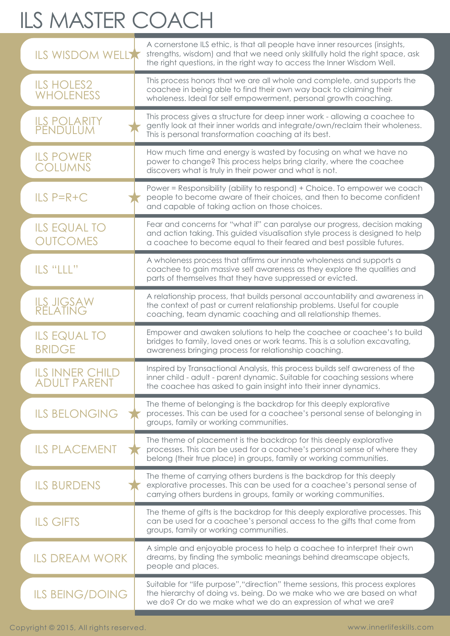| <b>ILS WISDOM WELLA</b>                | A cornerstone ILS ethic, is that all people have inner resources (insights,<br>strengths, wisdom) and that we need only skillfully hold the right space, ask<br>the right questions, in the right way to access the Inner Wisdom Well. |
|----------------------------------------|----------------------------------------------------------------------------------------------------------------------------------------------------------------------------------------------------------------------------------------|
| <b>ILS HOLES2</b><br><b>WHOLENESS</b>  | This process honors that we are all whole and complete, and supports the<br>coachee in being able to find their own way back to claiming their<br>wholeness. Ideal for self empowerment, personal growth coaching.                     |
| <b>ILS POLARITY<br/>PENDULUM</b>       | This process gives a structure for deep inner work - allowing a coachee to<br>gently look at their inner worlds and integrate/own/reclaim their wholeness.<br>This is personal transformation coaching at its best.                    |
| <b>ILS POWER</b><br><b>COLUMNS</b>     | How much time and energy is wasted by focusing on what we have no<br>power to change? This process helps bring clarity, where the coachee<br>discovers what is truly in their power and what is not.                                   |
| $ILS$ $P = R + C$                      | Power = Responsibility (ability to respond) + Choice. To empower we coach<br>people to become aware of their choices, and then to become confident<br>and capable of taking action on those choices.                                   |
| <b>ILS EQUAL TO</b><br><b>OUTCOMES</b> | Fear and concerns for "what if" can paralyse our progress, decision making<br>and action taking. This guided visualisation style process is designed to help<br>a coachee to become equal to their feared and best possible futures.   |
| ILS "LLL"                              | A wholeness process that affirms our innate wholeness and supports a<br>coachee to gain massive self awareness as they explore the qualities and<br>parts of themselves that they have suppressed or evicted.                          |
| <b>ILS JIGSAW<br/>RELATING</b>         | A relationship process, that builds personal accountability and awareness in<br>the context of past or current relationship problems. Useful for couple<br>coaching, team dynamic coaching and all relationship themes.                |
| <b>ILS EQUAL TO</b><br><b>BRIDGE</b>   | Empower and awaken solutions to help the coachee or coachee's to build<br>bridges to family, loved ones or work teams. This is a solution excavating,<br>awareness bringing process for relationship coaching.                         |
| ILS INNER CHIL<br><b>ADULT PARENT</b>  | Inspired by Transactional Analysis, this process builds self awareness of the<br>inner child - adult - parent dynamic. Suitable for coaching sessions where<br>the coachee has asked to gain insight into their inner dynamics.        |
| <b>ILS BELONGING</b>                   | The theme of belonging is the backdrop for this deeply explorative<br>processes. This can be used for a coachee's personal sense of belonging in<br>groups, family or working communities.                                             |
| <b>ILS PLACEMENT</b>                   | The theme of placement is the backdrop for this deeply explorative<br>processes. This can be used for a coachee's personal sense of where they<br>belong (their true place) in groups, family or working communities.                  |
| <b>ILS BURDENS</b>                     | The theme of carrying others burdens is the backdrop for this deeply<br>explorative processes. This can be used for a coachee's personal sense of<br>carrying others burdens in groups, family or working communities.                 |
| <b>ILS GIFTS</b>                       | The theme of gifts is the backdrop for this deeply explorative processes. This<br>can be used for a coachee's personal access to the gifts that come from<br>groups, family or working communities.                                    |
| <b>ILS DREAM WORK</b>                  | A simple and enjoyable process to help a coachee to interpret their own<br>dreams, by finding the symbolic meanings behind dreamscape objects,<br>people and places.                                                                   |
| <b>ILS BEING/DOING</b>                 | Suitable for "life purpose", "direction" theme sessions, this process explores<br>the hierarchy of doing vs. being. Do we make who we are based on what<br>we do? Or do we make what we do an expression of what we are?               |